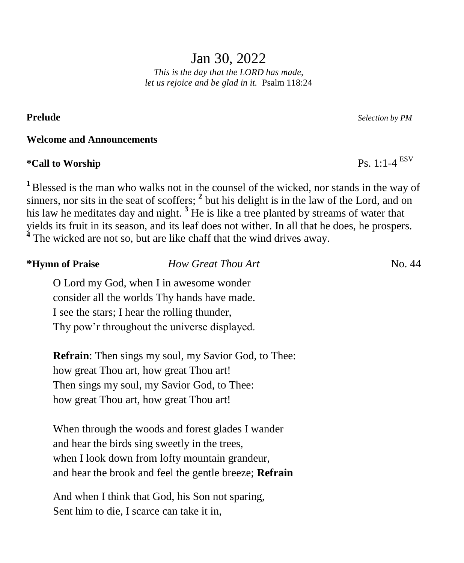Jan 30, 2022

*This is the day that the LORD has made, let us rejoice and be glad in it.* Psalm 118:24

### **Welcome and Announcements**

### $*$ Call to Worship

**<sup>1</sup>** Blessed is the man who walks not in the counsel of the wicked, nor stands in the way of sinners, nor sits in the seat of scoffers; <sup>2</sup> but his delight is in the law of the Lord, and on his law he meditates day and night. **<sup>3</sup>** He is like a tree planted by streams of water that yields its fruit in its season, and its leaf does not wither. In all that he does, he prospers. **4** The wicked are not so, but are like chaff that the wind drives away.

| *Hymn of Praise                              | No. 44                                                      |  |  |  |  |  |
|----------------------------------------------|-------------------------------------------------------------|--|--|--|--|--|
|                                              | O Lord my God, when I in awesome wonder                     |  |  |  |  |  |
|                                              | consider all the worlds Thy hands have made.                |  |  |  |  |  |
|                                              | I see the stars; I hear the rolling thunder,                |  |  |  |  |  |
| Thy pow'r throughout the universe displayed. |                                                             |  |  |  |  |  |
|                                              | <b>Refrain:</b> Then sings my soul, my Savior God, to Thee: |  |  |  |  |  |
|                                              | how great Thou art, how great Thou art!                     |  |  |  |  |  |
|                                              | Then sings my soul, my Savior God, to Thee:                 |  |  |  |  |  |
|                                              | how great Thou art, how great Thou art!                     |  |  |  |  |  |
|                                              |                                                             |  |  |  |  |  |

When through the woods and forest glades I wander and hear the birds sing sweetly in the trees, when I look down from lofty mountain grandeur, and hear the brook and feel the gentle breeze; **Refrain**

And when I think that God, his Son not sparing, Sent him to die, I scarce can take it in,

**Prelude** *Selection by PM*

 $Ps. 1:1-4$ <sup>ESV</sup>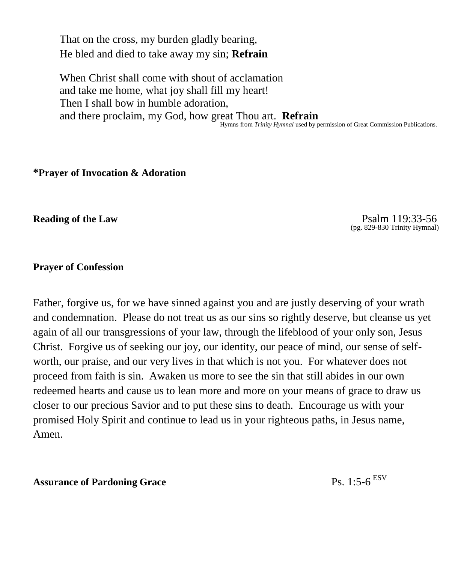That on the cross, my burden gladly bearing, He bled and died to take away my sin; **Refrain**

When Christ shall come with shout of acclamation and take me home, what joy shall fill my heart! Then I shall bow in humble adoration. and there proclaim, my God, how great Thou art. **Refrain** Hymns from *Trinity Hymnal* used by permission of Great Commission Publications. 

### **\*Prayer of Invocation & Adoration**

**Reading of the Law** Psalm 119:33-56 (pg. 829-830 Trinity Hymnal)

### **Prayer of Confession**

Father, forgive us, for we have sinned against you and are justly deserving of your wrath and condemnation. Please do not treat us as our sins so rightly deserve, but cleanse us yet again of all our transgressions of your law, through the lifeblood of your only son, Jesus Christ. Forgive us of seeking our joy, our identity, our peace of mind, our sense of selfworth, our praise, and our very lives in that which is not you. For whatever does not proceed from faith is sin. Awaken us more to see the sin that still abides in our own redeemed hearts and cause us to lean more and more on your means of grace to draw us closer to our precious Savior and to put these sins to death. Encourage us with your promised Holy Spirit and continue to lead us in your righteous paths, in Jesus name, Amen.

### **Assurance of Pardoning Grace**

Ps. 1:5- $6$ <sup>ESV</sup>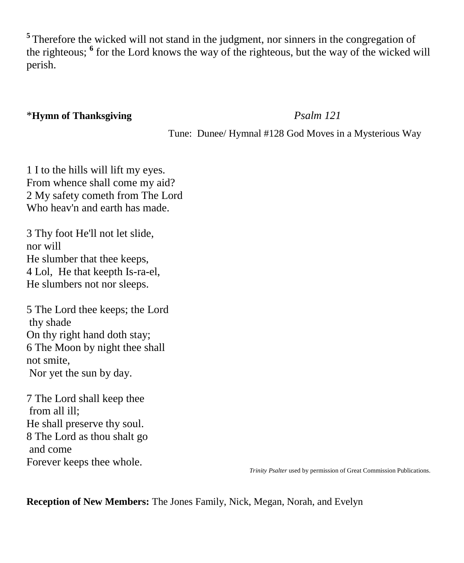<sup>5</sup>Therefore the wicked will not stand in the judgment, nor sinners in the congregation of the righteous; **<sup>6</sup>** for the Lord knows the way of the righteous, but the way of the wicked will perish.

### \***Hymn of Thanksgiving** *Psalm 121*

Tune: Dunee/ Hymnal #128 God Moves in a Mysterious Way

1 I to the hills will lift my eyes. From whence shall come my aid? 2 My safety cometh from The Lord Who heav'n and earth has made.

3 Thy foot He'll not let slide, nor will He slumber that thee keeps, 4 Lol, He that keepth Is-ra-el, He slumbers not nor sleeps.

5 The Lord thee keeps; the Lord thy shade On thy right hand doth stay; 6 The Moon by night thee shall not smite, Nor yet the sun by day.

7 The Lord shall keep thee from all ill; He shall preserve thy soul. 8 The Lord as thou shalt go and come Forever keeps thee whole.

*Trinity Psalter* used by permission of Great Commission Publications.

**Reception of New Members:** The Jones Family, Nick, Megan, Norah, and Evelyn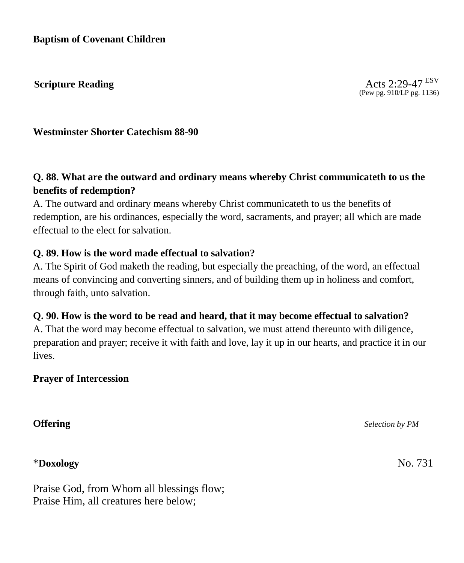**Scripture Reading Acts 2:29-47** ESV (Pew pg. 910/LP pg. 1136)

**Westminster Shorter Catechism 88-90**

## **Q. 88. What are the outward and ordinary means whereby Christ communicateth to us the benefits of redemption?**

A. The outward and ordinary means whereby Christ communicateth to us the benefits of redemption, are his ordinances, especially the word, sacraments, and prayer; all which are made effectual to the elect for salvation.

## **Q. 89. How is the word made effectual to salvation?**

A. The Spirit of God maketh the reading, but especially the preaching, of the word, an effectual means of convincing and converting sinners, and of building them up in holiness and comfort, through faith, unto salvation.

### **Q. 90. How is the word to be read and heard, that it may become effectual to salvation?**

A. That the word may become effectual to salvation, we must attend thereunto with diligence, preparation and prayer; receive it with faith and love, lay it up in our hearts, and practice it in our lives.

### **Prayer of Intercession**

**Offering** *Selection by PM* 

### \***Doxology** No. 731

Praise God, from Whom all blessings flow; Praise Him, all creatures here below;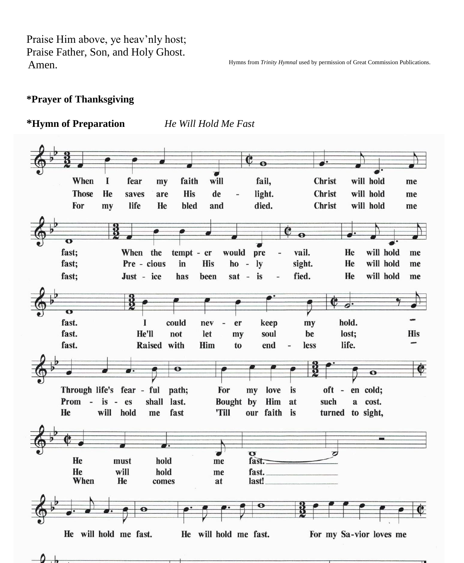Praise Him above, ye heav'nly host; Praise Father, Son, and Holy Ghost. Amen.

Hymns from *Trinity Hymnal* used by permission of Great Commission Publications.

### **\*Prayer of Thanksgiving**

**\*Hymn of Preparation** *He Will Hold Me Fast*

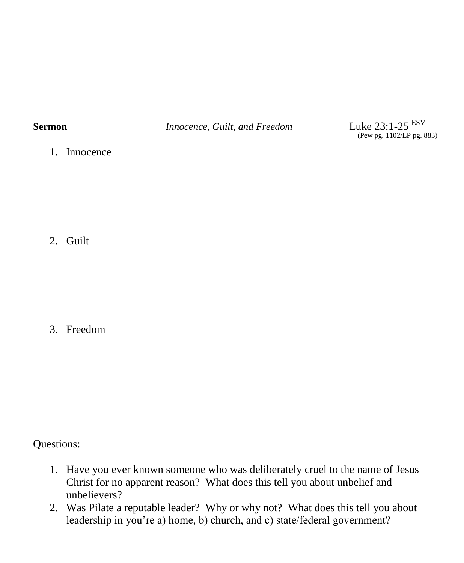**Sermon** *Innocence, Guilt, and Freedom Luke 23:1-25* <sup>ESV</sup>

(Pew pg. 1102/LP pg. 883)

1. Innocence

2. Guilt

3. Freedom

Questions:

- 1. Have you ever known someone who was deliberately cruel to the name of Jesus Christ for no apparent reason? What does this tell you about unbelief and unbelievers?
- 2. Was Pilate a reputable leader? Why or why not? What does this tell you about leadership in you're a) home, b) church, and c) state/federal government?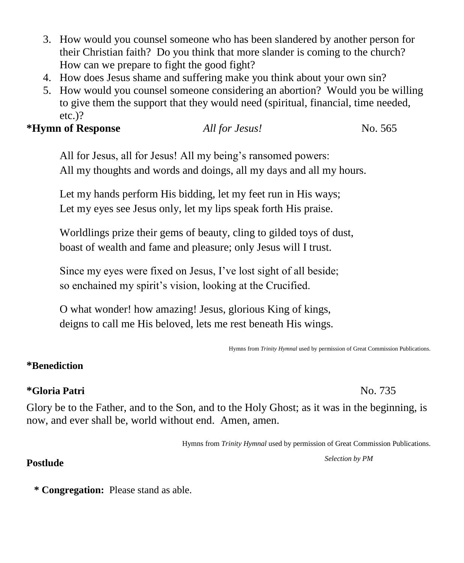- 3. How would you counsel someone who has been slandered by another person for their Christian faith? Do you think that more slander is coming to the church? How can we prepare to fight the good fight?
- 4. How does Jesus shame and suffering make you think about your own sin?
- 5. How would you counsel someone considering an abortion? Would you be willing to give them the support that they would need (spiritual, financial, time needed, etc.)?

# **\*Hymn of Response** *All for Jesus!* No. 565

All for Jesus, all for Jesus! All my being's ransomed powers: All my thoughts and words and doings, all my days and all my hours.

Let my hands perform His bidding, let my feet run in His ways; Let my eyes see Jesus only, let my lips speak forth His praise.

Worldlings prize their gems of beauty, cling to gilded toys of dust, boast of wealth and fame and pleasure; only Jesus will I trust.

Since my eyes were fixed on Jesus, I've lost sight of all beside; so enchained my spirit's vision, looking at the Crucified.

O what wonder! how amazing! Jesus, glorious King of kings, deigns to call me His beloved, lets me rest beneath His wings.

Hymns from *Trinity Hymnal* used by permission of Great Commission Publications.

## **\*Benediction**

## **\*Gloria Patri** No. 735

Glory be to the Father, and to the Son, and to the Holy Ghost; as it was in the beginning, is now, and ever shall be, world without end. Amen, amen.

Hymns from *Trinity Hymnal* used by permission of Great Commission Publications.

*Selection by PM*

**\* Congregation:** Please stand as able.

### **Postlude**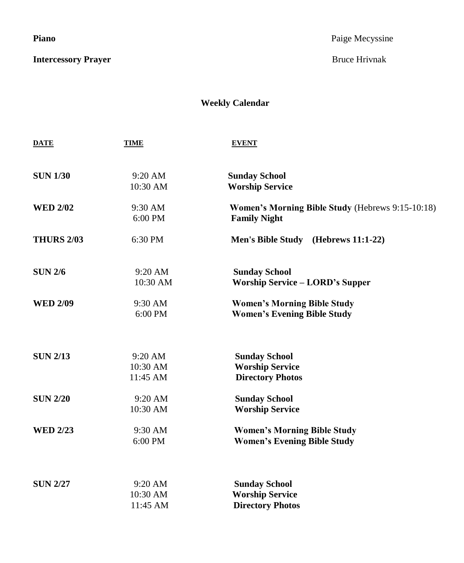**Intercessory Prayer** Bruce Hrivnak

## **Weekly Calendar**

| <b>DATE</b>       | <b>TIME</b> | <b>EVENT</b>                                     |
|-------------------|-------------|--------------------------------------------------|
| <b>SUN 1/30</b>   | $9:20$ AM   | <b>Sunday School</b>                             |
|                   | 10:30 AM    | <b>Worship Service</b>                           |
| <b>WED 2/02</b>   | 9:30 AM     | Women's Morning Bible Study (Hebrews 9:15-10:18) |
|                   | 6:00 PM     | <b>Family Night</b>                              |
| <b>THURS 2/03</b> | 6:30 PM     | <b>Men's Bible Study</b><br>(Hebrews 11:1-22)    |
| <b>SUN 2/6</b>    | $9:20$ AM   | <b>Sunday School</b>                             |
|                   | 10:30 AM    | <b>Worship Service - LORD's Supper</b>           |
| <b>WED 2/09</b>   | 9:30 AM     | <b>Women's Morning Bible Study</b>               |
|                   | 6:00 PM     | <b>Women's Evening Bible Study</b>               |
| <b>SUN 2/13</b>   | $9:20$ AM   | <b>Sunday School</b>                             |
|                   | 10:30 AM    | <b>Worship Service</b>                           |
|                   | 11:45 AM    | <b>Directory Photos</b>                          |
| <b>SUN 2/20</b>   | 9:20 AM     | <b>Sunday School</b>                             |
|                   | 10:30 AM    | <b>Worship Service</b>                           |
| <b>WED 2/23</b>   | 9:30 AM     | <b>Women's Morning Bible Study</b>               |
|                   | 6:00 PM     | <b>Women's Evening Bible Study</b>               |
| <b>SUN 2/27</b>   | 9:20 AM     | <b>Sunday School</b>                             |
|                   | 10:30 AM    | <b>Worship Service</b>                           |
|                   | 11:45 AM    | <b>Directory Photos</b>                          |